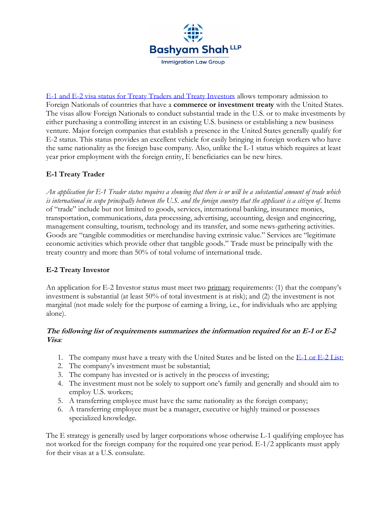

[E-1 and E-2 visa status for Treaty Traders and Treaty Investors](https://my.uscis.gov/exploremyoptions/evisas_for_temporary_workers) allows temporary admission to Foreign Nationals of countries that have a **commerce or investment treaty** with the United States. The visas allow Foreign Nationals to conduct substantial trade in the U.S. or to make investments by either purchasing a controlling interest in an existing U.S. business or establishing a new business venture. Major foreign companies that establish a presence in the United States generally qualify for E-2 status. This status provides an excellent vehicle for easily bringing in foreign workers who have the same nationality as the foreign base company. Also, unlike the L-1 status which requires at least year prior employment with the foreign entity, E beneficiaries can be new hires.

## **E-1 Treaty Trader**

*An application for E-1 Trader status requires a showing that there is or will be a substantial amount of trade which is international in scope principally between the U.S. and the foreign country that the applicant is a citizen of*. Items of "trade" include but not limited to goods, services, international banking, insurance monies, transportation, communications, data processing, advertising, accounting, design and engineering, management consulting, tourism, technology and its transfer, and some news-gathering activities. Goods are "tangible commodities or merchandise having extrinsic value." Services are "legitimate economic activities which provide other that tangible goods." Trade must be principally with the treaty country and more than 50% of total volume of international trade.

## **E-2 Treaty Investor**

An application for E-2 Investor status must meet two primary requirements: (1) that the company's investment is substantial (at least 50% of total investment is at risk); and (2) the investment is not marginal (not made solely for the purpose of earning a living, i.e., for individuals who are applying alone).

## **The following list of requirements summarizes the information required for an E-1 or E-2 Visa***:*

- 1. The company must have a treaty with the United States and be listed on the [E-1 or E-2 List;](https://travel.state.gov/content/travel/en/us-visas/visa-information-resources/fees/treaty.html)
- 2. The company's investment must be substantial;
- 3. The company has invested or is actively in the process of investing;
- 4. The investment must not be solely to support one's family and generally and should aim to employ U.S. workers;
- 5. A transferring employee must have the same nationality as the foreign company;
- 6. A transferring employee must be a manager, executive or highly trained or possesses specialized knowledge.

The E strategy is generally used by larger corporations whose otherwise L-1 qualifying employee has not worked for the foreign company for the required one year period. E-1/2 applicants must apply for their visas at a U.S. consulate.